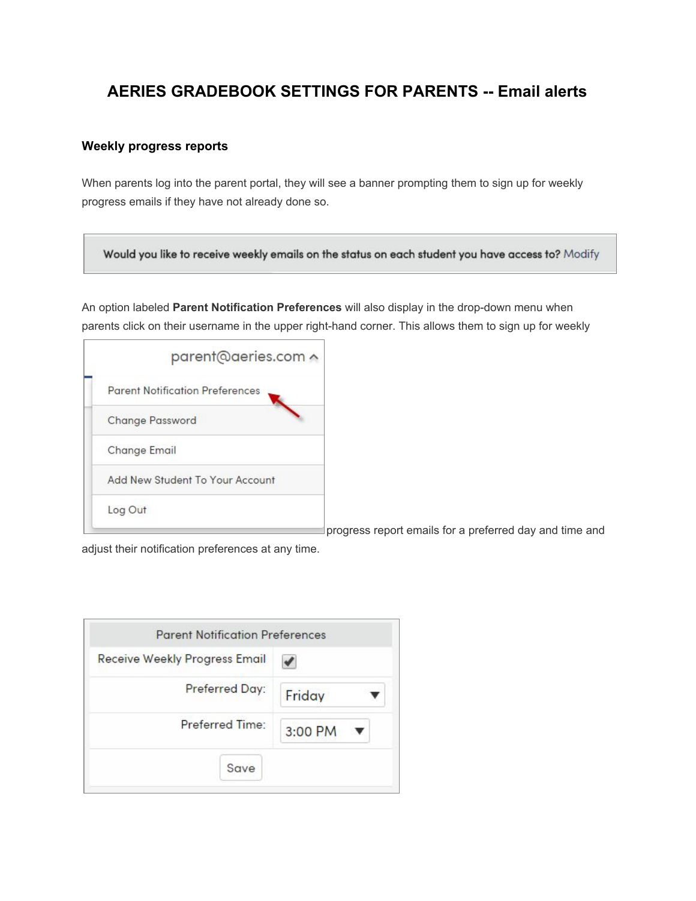## **AERIES GRADEBOOK SETTINGS FOR PARENTS -- Email alerts**

## **Weekly progress reports**

When parents log into the parent portal, they will see a banner prompting them to sign up for weekly progress emails if they have not already done so.

Would you like to receive weekly emails on the status on each student you have access to? Modify

An option labeled **Parent Notification Preferences** will also display in the drop-down menu when parents click on their username in the upper right-hand corner. This allows them to sign up for weekly

| parent@aeries.com ^                    |                                                         |
|----------------------------------------|---------------------------------------------------------|
| <b>Parent Notification Preferences</b> |                                                         |
| <b>Change Password</b>                 |                                                         |
| <b>Change Email</b>                    |                                                         |
| Add New Student To Your Account        |                                                         |
| Log Out                                |                                                         |
|                                        | progress report emails for a preferred day and time and |

adjust their notification preferences at any time.

| <b>Receive Weekly Progress Email</b> |         |
|--------------------------------------|---------|
| Preferred Day:                       | Friday  |
| Preferred Time:                      | 3:00 PM |